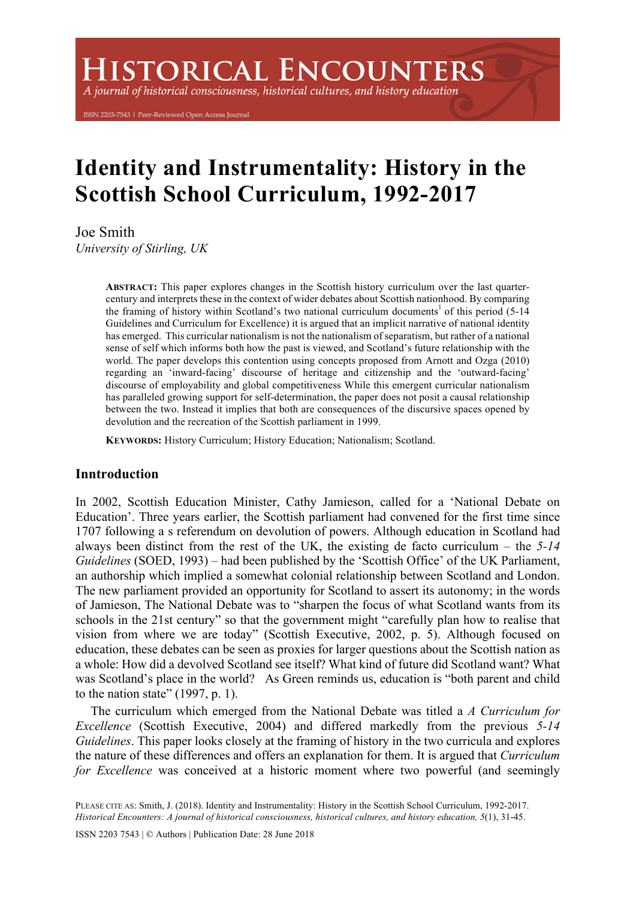# **ISTORICAL ENCOUNTERS**

A journal of historical consciousness, historical cultures, and history education

ISSN 2203-7543 | Peer-Reviewed Open Access Journal

# **Identity and Instrumentality: History in the Scottish School Curriculum, 1992-2017**

Joe Smith

*University of Stirling, UK*

**ABSTRACT:** This paper explores changes in the Scottish history curriculum over the last quartercentury and interprets these in the context of wider debates about Scottish nationhood. By comparing the framing of history within Scotland's two national curriculum documents<sup>1</sup> of this period (5-14) Guidelines and Curriculum for Excellence) it is argued that an implicit narrative of national identity has emerged. This curricular nationalism is not the nationalism of separatism, but rather of a national sense of self which informs both how the past is viewed, and Scotland's future relationship with the world. The paper develops this contention using concepts proposed from Arnott and Ozga (2010) regarding an 'inward-facing' discourse of heritage and citizenship and the 'outward-facing' discourse of employability and global competitiveness While this emergent curricular nationalism has paralleled growing support for self-determination, the paper does not posit a causal relationship between the two. Instead it implies that both are consequences of the discursive spaces opened by devolution and the recreation of the Scottish parliament in 1999.

**KEYWORDS:** History Curriculum; History Education; Nationalism; Scotland.

# **Inntroduction**

In 2002, Scottish Education Minister, Cathy Jamieson, called for a 'National Debate on Education'. Three years earlier, the Scottish parliament had convened for the first time since 1707 following a s referendum on devolution of powers. Although education in Scotland had always been distinct from the rest of the UK, the existing de facto curriculum – the *5-14 Guidelines* (SOED, 1993) – had been published by the 'Scottish Office' of the UK Parliament, an authorship which implied a somewhat colonial relationship between Scotland and London. The new parliament provided an opportunity for Scotland to assert its autonomy; in the words of Jamieson, The National Debate was to "sharpen the focus of what Scotland wants from its schools in the 21st century" so that the government might "carefully plan how to realise that vision from where we are today" (Scottish Executive, 2002, p. 5). Although focused on education, these debates can be seen as proxies for larger questions about the Scottish nation as a whole: How did a devolved Scotland see itself? What kind of future did Scotland want? What was Scotland's place in the world? As Green reminds us, education is "both parent and child to the nation state"  $(1997, p. 1)$ .

The curriculum which emerged from the National Debate was titled a *A Curriculum for Excellence* (Scottish Executive, 2004) and differed markedly from the previous *5-14 Guidelines*. This paper looks closely at the framing of history in the two curricula and explores the nature of these differences and offers an explanation for them. It is argued that *Curriculum for Excellence* was conceived at a historic moment where two powerful (and seemingly

ISSN 2203 7543 | © Authors | Publication Date: 28 June 2018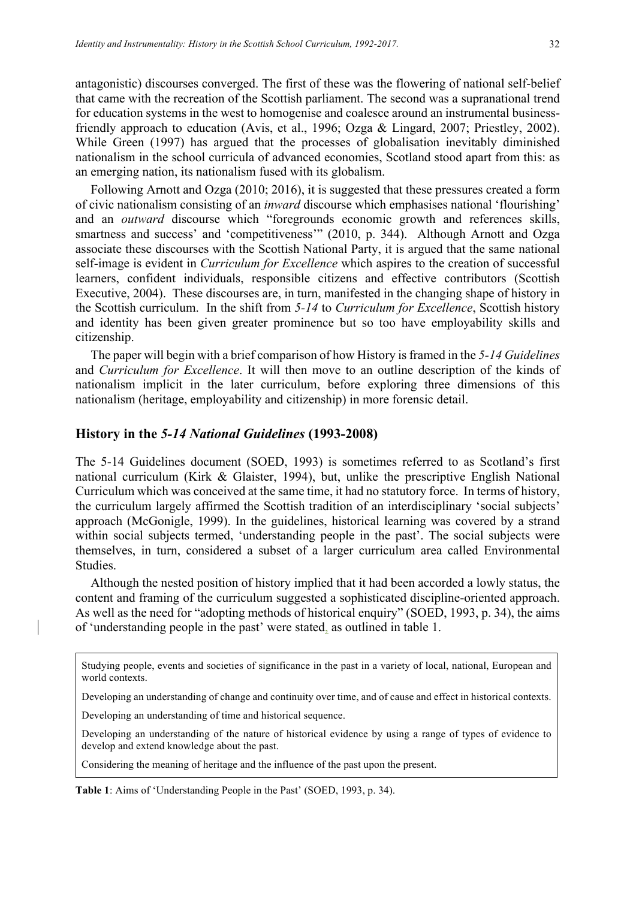antagonistic) discourses converged. The first of these was the flowering of national self-belief that came with the recreation of the Scottish parliament. The second was a supranational trend for education systems in the west to homogenise and coalesce around an instrumental businessfriendly approach to education (Avis, et al., 1996; Ozga & Lingard, 2007; Priestley, 2002). While Green (1997) has argued that the processes of globalisation inevitably diminished nationalism in the school curricula of advanced economies, Scotland stood apart from this: as an emerging nation, its nationalism fused with its globalism.

Following Arnott and Ozga (2010; 2016), it is suggested that these pressures created a form of civic nationalism consisting of an *inward* discourse which emphasises national 'flourishing' and an *outward* discourse which "foregrounds economic growth and references skills, smartness and success' and 'competitiveness'" (2010, p. 344). Although Arnott and Ozga associate these discourses with the Scottish National Party, it is argued that the same national self-image is evident in *Curriculum for Excellence* which aspires to the creation of successful learners, confident individuals, responsible citizens and effective contributors (Scottish Executive, 2004). These discourses are, in turn, manifested in the changing shape of history in the Scottish curriculum. In the shift from *5-14* to *Curriculum for Excellence*, Scottish history and identity has been given greater prominence but so too have employability skills and citizenship.

The paper will begin with a brief comparison of how History is framed in the *5-14 Guidelines* and *Curriculum for Excellence*. It will then move to an outline description of the kinds of nationalism implicit in the later curriculum, before exploring three dimensions of this nationalism (heritage, employability and citizenship) in more forensic detail.

#### **History in the** *5-14 National Guidelines* **(1993-2008)**

The 5-14 Guidelines document (SOED, 1993) is sometimes referred to as Scotland's first national curriculum (Kirk & Glaister, 1994), but, unlike the prescriptive English National Curriculum which was conceived at the same time, it had no statutory force. In terms of history, the curriculum largely affirmed the Scottish tradition of an interdisciplinary 'social subjects' approach (McGonigle, 1999). In the guidelines, historical learning was covered by a strand within social subjects termed, 'understanding people in the past'. The social subjects were themselves, in turn, considered a subset of a larger curriculum area called Environmental Studies.

Although the nested position of history implied that it had been accorded a lowly status, the content and framing of the curriculum suggested a sophisticated discipline-oriented approach. As well as the need for "adopting methods of historical enquiry" (SOED, 1993, p. 34), the aims of 'understanding people in the past' were stated, as outlined in table 1.

Studying people, events and societies of significance in the past in a variety of local, national, European and world contexts.

Developing an understanding of change and continuity over time, and of cause and effect in historical contexts.

Developing an understanding of time and historical sequence.

Developing an understanding of the nature of historical evidence by using a range of types of evidence to develop and extend knowledge about the past.

Considering the meaning of heritage and the influence of the past upon the present.

**Table 1**: Aims of 'Understanding People in the Past' (SOED, 1993, p. 34).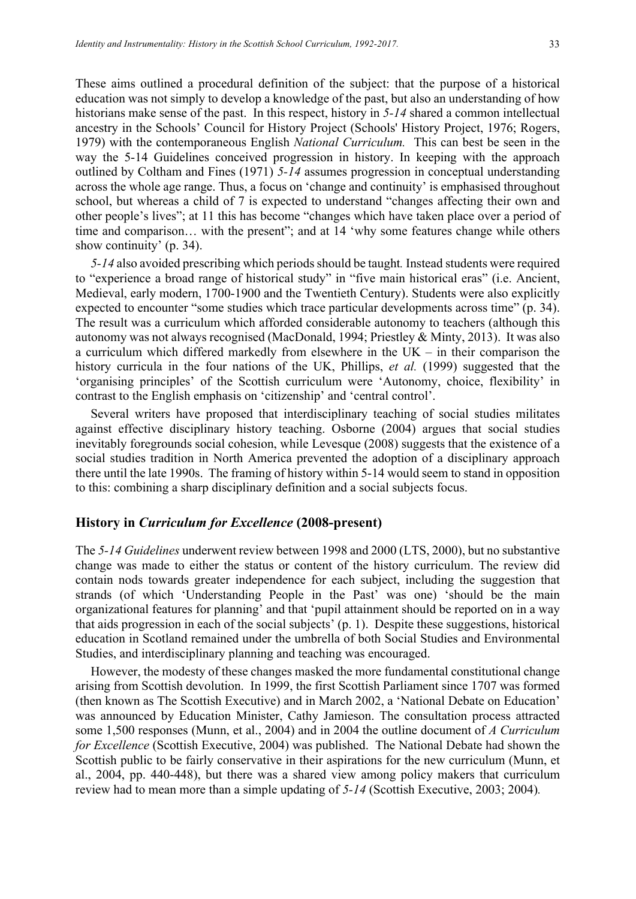These aims outlined a procedural definition of the subject: that the purpose of a historical education was not simply to develop a knowledge of the past, but also an understanding of how historians make sense of the past. In this respect, history in *5-14* shared a common intellectual ancestry in the Schools' Council for History Project (Schools' History Project, 1976; Rogers, 1979) with the contemporaneous English *National Curriculum.* This can best be seen in the way the 5-14 Guidelines conceived progression in history. In keeping with the approach outlined by Coltham and Fines (1971) *5-14* assumes progression in conceptual understanding across the whole age range. Thus, a focus on 'change and continuity' is emphasised throughout school, but whereas a child of 7 is expected to understand "changes affecting their own and other people's lives"; at 11 this has become "changes which have taken place over a period of time and comparison… with the present"; and at 14 'why some features change while others show continuity' (p. 34).

*5-14* also avoided prescribing which periods should be taught*.* Instead students were required to "experience a broad range of historical study" in "five main historical eras" (i.e. Ancient, Medieval, early modern, 1700-1900 and the Twentieth Century). Students were also explicitly expected to encounter "some studies which trace particular developments across time" (p. 34). The result was a curriculum which afforded considerable autonomy to teachers (although this autonomy was not always recognised (MacDonald, 1994; Priestley & Minty, 2013). It was also a curriculum which differed markedly from elsewhere in the UK – in their comparison the history curricula in the four nations of the UK, Phillips, *et al.* (1999) suggested that the 'organising principles' of the Scottish curriculum were 'Autonomy, choice, flexibility' in contrast to the English emphasis on 'citizenship' and 'central control'.

Several writers have proposed that interdisciplinary teaching of social studies militates against effective disciplinary history teaching. Osborne (2004) argues that social studies inevitably foregrounds social cohesion, while Levesque (2008) suggests that the existence of a social studies tradition in North America prevented the adoption of a disciplinary approach there until the late 1990s. The framing of history within 5-14 would seem to stand in opposition to this: combining a sharp disciplinary definition and a social subjects focus.

### **History in** *Curriculum for Excellence* **(2008-present)**

The *5-14 Guidelines* underwent review between 1998 and 2000 (LTS, 2000), but no substantive change was made to either the status or content of the history curriculum. The review did contain nods towards greater independence for each subject, including the suggestion that strands (of which 'Understanding People in the Past' was one) 'should be the main organizational features for planning' and that 'pupil attainment should be reported on in a way that aids progression in each of the social subjects' (p. 1). Despite these suggestions, historical education in Scotland remained under the umbrella of both Social Studies and Environmental Studies, and interdisciplinary planning and teaching was encouraged.

However, the modesty of these changes masked the more fundamental constitutional change arising from Scottish devolution. In 1999, the first Scottish Parliament since 1707 was formed (then known as The Scottish Executive) and in March 2002, a 'National Debate on Education' was announced by Education Minister, Cathy Jamieson. The consultation process attracted some 1,500 responses (Munn, et al., 2004) and in 2004 the outline document of *A Curriculum for Excellence* (Scottish Executive, 2004) was published. The National Debate had shown the Scottish public to be fairly conservative in their aspirations for the new curriculum (Munn, et al., 2004, pp. 440-448), but there was a shared view among policy makers that curriculum review had to mean more than a simple updating of *5-14* (Scottish Executive, 2003; 2004)*.*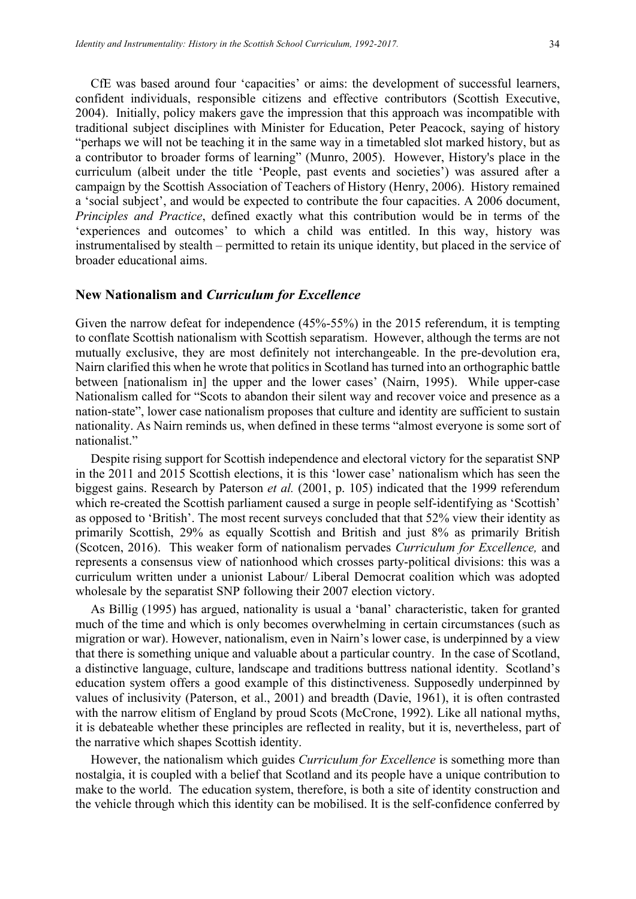CfE was based around four 'capacities' or aims: the development of successful learners, confident individuals, responsible citizens and effective contributors (Scottish Executive, 2004). Initially, policy makers gave the impression that this approach was incompatible with traditional subject disciplines with Minister for Education, Peter Peacock, saying of history "perhaps we will not be teaching it in the same way in a timetabled slot marked history, but as a contributor to broader forms of learning" (Munro, 2005). However, History's place in the curriculum (albeit under the title 'People, past events and societies') was assured after a campaign by the Scottish Association of Teachers of History (Henry, 2006). History remained a 'social subject', and would be expected to contribute the four capacities. A 2006 document, *Principles and Practice*, defined exactly what this contribution would be in terms of the 'experiences and outcomes' to which a child was entitled. In this way, history was instrumentalised by stealth – permitted to retain its unique identity, but placed in the service of broader educational aims.

#### **New Nationalism and** *Curriculum for Excellence*

Given the narrow defeat for independence (45%-55%) in the 2015 referendum, it is tempting to conflate Scottish nationalism with Scottish separatism. However, although the terms are not mutually exclusive, they are most definitely not interchangeable. In the pre-devolution era, Nairn clarified this when he wrote that politics in Scotland has turned into an orthographic battle between [nationalism in] the upper and the lower cases' (Nairn, 1995). While upper-case Nationalism called for "Scots to abandon their silent way and recover voice and presence as a nation-state", lower case nationalism proposes that culture and identity are sufficient to sustain nationality. As Nairn reminds us, when defined in these terms "almost everyone is some sort of nationalist."

Despite rising support for Scottish independence and electoral victory for the separatist SNP in the 2011 and 2015 Scottish elections, it is this 'lower case' nationalism which has seen the biggest gains. Research by Paterson *et al.* (2001, p. 105) indicated that the 1999 referendum which re-created the Scottish parliament caused a surge in people self-identifying as 'Scottish' as opposed to 'British'. The most recent surveys concluded that that 52% view their identity as primarily Scottish, 29% as equally Scottish and British and just 8% as primarily British (Scotcen, 2016). This weaker form of nationalism pervades *Curriculum for Excellence,* and represents a consensus view of nationhood which crosses party-political divisions: this was a curriculum written under a unionist Labour/ Liberal Democrat coalition which was adopted wholesale by the separatist SNP following their 2007 election victory.

As Billig (1995) has argued, nationality is usual a 'banal' characteristic, taken for granted much of the time and which is only becomes overwhelming in certain circumstances (such as migration or war). However, nationalism, even in Nairn's lower case, is underpinned by a view that there is something unique and valuable about a particular country. In the case of Scotland, a distinctive language, culture, landscape and traditions buttress national identity. Scotland's education system offers a good example of this distinctiveness. Supposedly underpinned by values of inclusivity (Paterson, et al., 2001) and breadth (Davie, 1961), it is often contrasted with the narrow elitism of England by proud Scots (McCrone, 1992). Like all national myths, it is debateable whether these principles are reflected in reality, but it is, nevertheless, part of the narrative which shapes Scottish identity.

However, the nationalism which guides *Curriculum for Excellence* is something more than nostalgia, it is coupled with a belief that Scotland and its people have a unique contribution to make to the world. The education system, therefore, is both a site of identity construction and the vehicle through which this identity can be mobilised. It is the self-confidence conferred by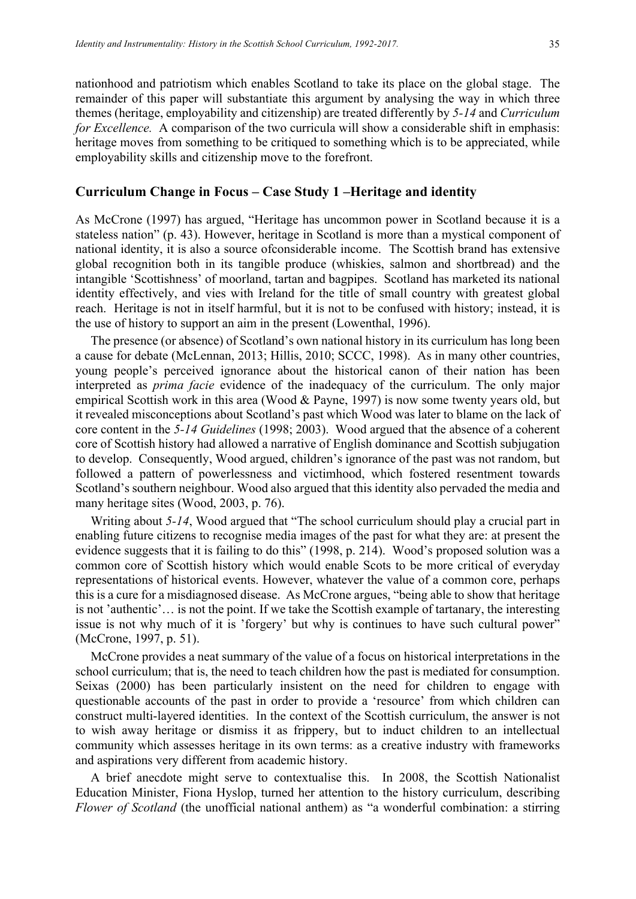nationhood and patriotism which enables Scotland to take its place on the global stage. The remainder of this paper will substantiate this argument by analysing the way in which three themes (heritage, employability and citizenship) are treated differently by *5-14* and *Curriculum for Excellence.* A comparison of the two curricula will show a considerable shift in emphasis: heritage moves from something to be critiqued to something which is to be appreciated, while employability skills and citizenship move to the forefront.

#### **Curriculum Change in Focus – Case Study 1 –Heritage and identity**

As McCrone (1997) has argued, "Heritage has uncommon power in Scotland because it is a stateless nation" (p. 43). However, heritage in Scotland is more than a mystical component of national identity, it is also a source ofconsiderable income. The Scottish brand has extensive global recognition both in its tangible produce (whiskies, salmon and shortbread) and the intangible 'Scottishness' of moorland, tartan and bagpipes. Scotland has marketed its national identity effectively, and vies with Ireland for the title of small country with greatest global reach. Heritage is not in itself harmful, but it is not to be confused with history; instead, it is the use of history to support an aim in the present (Lowenthal, 1996).

The presence (or absence) of Scotland's own national history in its curriculum has long been a cause for debate (McLennan, 2013; Hillis, 2010; SCCC, 1998). As in many other countries, young people's perceived ignorance about the historical canon of their nation has been interpreted as *prima facie* evidence of the inadequacy of the curriculum. The only major empirical Scottish work in this area (Wood & Payne, 1997) is now some twenty years old, but it revealed misconceptions about Scotland's past which Wood was later to blame on the lack of core content in the *5-14 Guidelines* (1998; 2003). Wood argued that the absence of a coherent core of Scottish history had allowed a narrative of English dominance and Scottish subjugation to develop. Consequently, Wood argued, children's ignorance of the past was not random, but followed a pattern of powerlessness and victimhood, which fostered resentment towards Scotland's southern neighbour. Wood also argued that this identity also pervaded the media and many heritage sites (Wood, 2003, p. 76).

Writing about *5-14*, Wood argued that "The school curriculum should play a crucial part in enabling future citizens to recognise media images of the past for what they are: at present the evidence suggests that it is failing to do this" (1998, p. 214). Wood's proposed solution was a common core of Scottish history which would enable Scots to be more critical of everyday representations of historical events. However, whatever the value of a common core, perhaps this is a cure for a misdiagnosed disease. As McCrone argues, "being able to show that heritage is not 'authentic'… is not the point. If we take the Scottish example of tartanary, the interesting issue is not why much of it is 'forgery' but why is continues to have such cultural power" (McCrone, 1997, p. 51).

McCrone provides a neat summary of the value of a focus on historical interpretations in the school curriculum; that is, the need to teach children how the past is mediated for consumption. Seixas (2000) has been particularly insistent on the need for children to engage with questionable accounts of the past in order to provide a 'resource' from which children can construct multi-layered identities. In the context of the Scottish curriculum, the answer is not to wish away heritage or dismiss it as frippery, but to induct children to an intellectual community which assesses heritage in its own terms: as a creative industry with frameworks and aspirations very different from academic history.

A brief anecdote might serve to contextualise this. In 2008, the Scottish Nationalist Education Minister, Fiona Hyslop, turned her attention to the history curriculum, describing *Flower of Scotland* (the unofficial national anthem) as "a wonderful combination: a stirring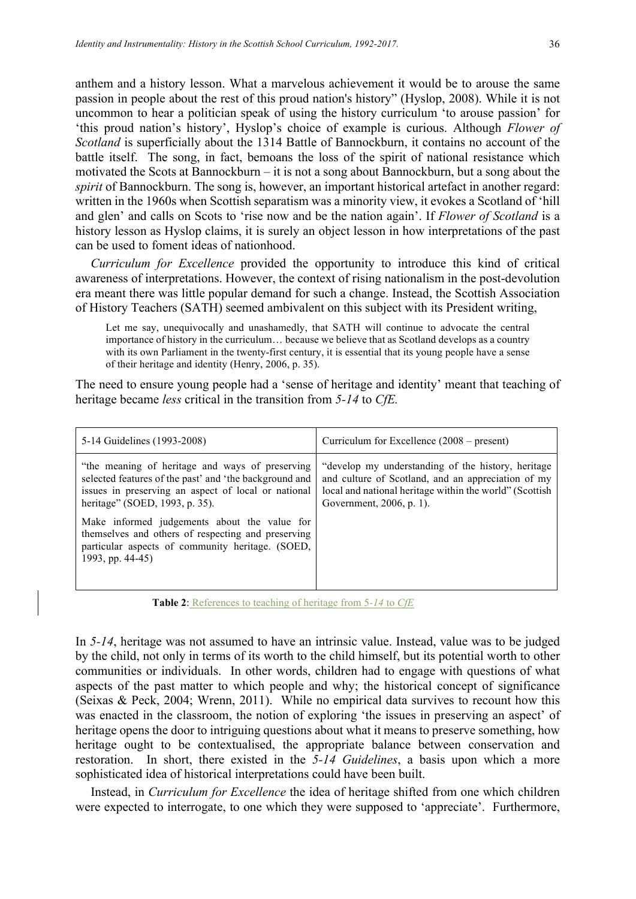anthem and a history lesson. What a marvelous achievement it would be to arouse the same passion in people about the rest of this proud nation's history" (Hyslop, 2008). While it is not uncommon to hear a politician speak of using the history curriculum 'to arouse passion' for 'this proud nation's history', Hyslop's choice of example is curious. Although *Flower of Scotland* is superficially about the 1314 Battle of Bannockburn, it contains no account of the battle itself. The song, in fact, bemoans the loss of the spirit of national resistance which motivated the Scots at Bannockburn – it is not a song about Bannockburn, but a song about the *spirit* of Bannockburn. The song is, however, an important historical artefact in another regard: written in the 1960s when Scottish separatism was a minority view, it evokes a Scotland of 'hill and glen' and calls on Scots to 'rise now and be the nation again'. If *Flower of Scotland* is a history lesson as Hyslop claims, it is surely an object lesson in how interpretations of the past can be used to foment ideas of nationhood.

*Curriculum for Excellence* provided the opportunity to introduce this kind of critical awareness of interpretations. However, the context of rising nationalism in the post-devolution era meant there was little popular demand for such a change. Instead, the Scottish Association of History Teachers (SATH) seemed ambivalent on this subject with its President writing,

Let me say, unequivocally and unashamedly, that SATH will continue to advocate the central importance of history in the curriculum… because we believe that as Scotland develops as a country with its own Parliament in the twenty-first century, it is essential that its young people have a sense of their heritage and identity (Henry, 2006, p. 35).

The need to ensure young people had a 'sense of heritage and identity' meant that teaching of heritage became *less* critical in the transition from *5-14* to *CfE.*

| 5-14 Guidelines (1993-2008)                                                                                                                                                                        | Curriculum for Excellence $(2008 - present)$                                                                                                                                                    |
|----------------------------------------------------------------------------------------------------------------------------------------------------------------------------------------------------|-------------------------------------------------------------------------------------------------------------------------------------------------------------------------------------------------|
| "the meaning of heritage and ways of preserving<br>selected features of the past' and 'the background and<br>issues in preserving an aspect of local or national<br>heritage" (SOED, 1993, p. 35). | "develop my understanding of the history, heritage<br>and culture of Scotland, and an appreciation of my<br>local and national heritage within the world" (Scottish<br>Government, 2006, p. 1). |
| Make informed judgements about the value for<br>themselves and others of respecting and preserving<br>particular aspects of community heritage. (SOED,<br>1993, pp. 44-45)                         |                                                                                                                                                                                                 |

**Table 2**: References to teaching of heritage from 5*-14* to *CfE*

In *5-14*, heritage was not assumed to have an intrinsic value. Instead, value was to be judged by the child, not only in terms of its worth to the child himself, but its potential worth to other communities or individuals. In other words, children had to engage with questions of what aspects of the past matter to which people and why; the historical concept of significance (Seixas & Peck, 2004; Wrenn, 2011). While no empirical data survives to recount how this was enacted in the classroom, the notion of exploring 'the issues in preserving an aspect' of heritage opens the door to intriguing questions about what it means to preserve something, how heritage ought to be contextualised, the appropriate balance between conservation and restoration. In short, there existed in the *5-14 Guidelines*, a basis upon which a more sophisticated idea of historical interpretations could have been built.

Instead, in *Curriculum for Excellence* the idea of heritage shifted from one which children were expected to interrogate, to one which they were supposed to 'appreciate'. Furthermore,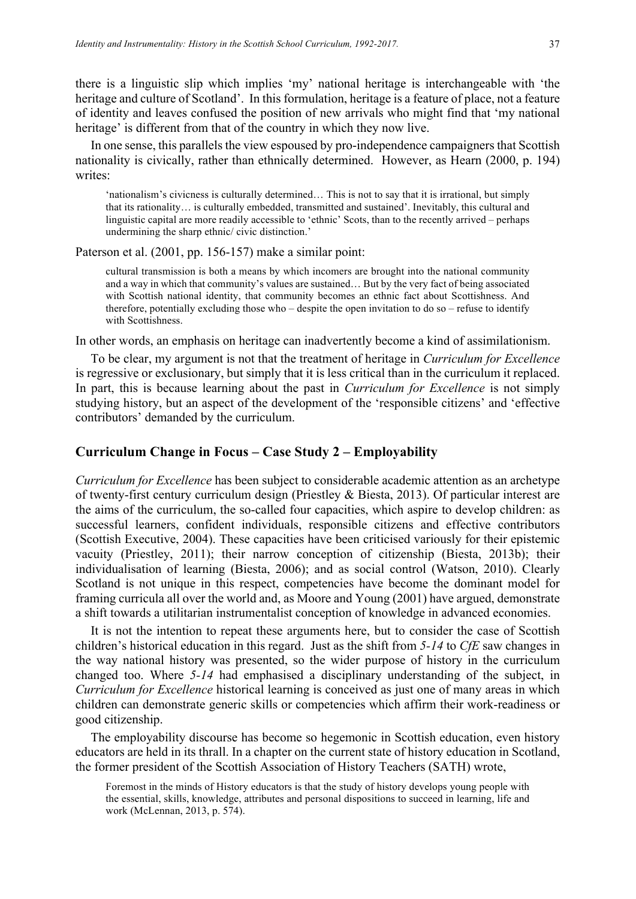there is a linguistic slip which implies 'my' national heritage is interchangeable with 'the heritage and culture of Scotland'. In this formulation, heritage is a feature of place, not a feature of identity and leaves confused the position of new arrivals who might find that 'my national heritage' is different from that of the country in which they now live.

In one sense, this parallels the view espoused by pro-independence campaigners that Scottish nationality is civically, rather than ethnically determined. However, as Hearn (2000, p. 194) writes:

'nationalism's civicness is culturally determined… This is not to say that it is irrational, but simply that its rationality… is culturally embedded, transmitted and sustained'. Inevitably, this cultural and linguistic capital are more readily accessible to 'ethnic' Scots, than to the recently arrived – perhaps undermining the sharp ethnic/ civic distinction.'

Paterson et al. (2001, pp. 156-157) make a similar point:

cultural transmission is both a means by which incomers are brought into the national community and a way in which that community's values are sustained… But by the very fact of being associated with Scottish national identity, that community becomes an ethnic fact about Scottishness. And therefore, potentially excluding those who – despite the open invitation to do so – refuse to identify with Scottishness.

In other words, an emphasis on heritage can inadvertently become a kind of assimilationism.

To be clear, my argument is not that the treatment of heritage in *Curriculum for Excellence* is regressive or exclusionary, but simply that it is less critical than in the curriculum it replaced. In part, this is because learning about the past in *Curriculum for Excellence* is not simply studying history, but an aspect of the development of the 'responsible citizens' and 'effective contributors' demanded by the curriculum.

# **Curriculum Change in Focus – Case Study 2 – Employability**

*Curriculum for Excellence* has been subject to considerable academic attention as an archetype of twenty-first century curriculum design (Priestley & Biesta, 2013). Of particular interest are the aims of the curriculum, the so-called four capacities, which aspire to develop children: as successful learners, confident individuals, responsible citizens and effective contributors (Scottish Executive, 2004). These capacities have been criticised variously for their epistemic vacuity (Priestley, 2011); their narrow conception of citizenship (Biesta, 2013b); their individualisation of learning (Biesta, 2006); and as social control (Watson, 2010). Clearly Scotland is not unique in this respect, competencies have become the dominant model for framing curricula all over the world and, as Moore and Young (2001) have argued, demonstrate a shift towards a utilitarian instrumentalist conception of knowledge in advanced economies.

It is not the intention to repeat these arguments here, but to consider the case of Scottish children's historical education in this regard. Just as the shift from *5-14* to *CfE* saw changes in the way national history was presented, so the wider purpose of history in the curriculum changed too. Where *5-14* had emphasised a disciplinary understanding of the subject, in *Curriculum for Excellence* historical learning is conceived as just one of many areas in which children can demonstrate generic skills or competencies which affirm their work-readiness or good citizenship.

The employability discourse has become so hegemonic in Scottish education, even history educators are held in its thrall. In a chapter on the current state of history education in Scotland, the former president of the Scottish Association of History Teachers (SATH) wrote,

Foremost in the minds of History educators is that the study of history develops young people with the essential, skills, knowledge, attributes and personal dispositions to succeed in learning, life and work (McLennan, 2013, p. 574).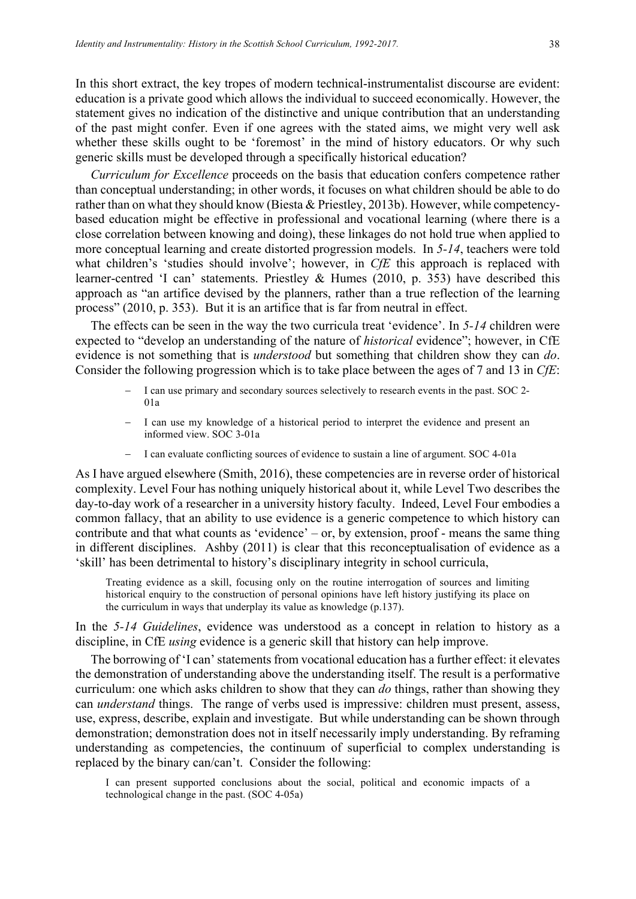In this short extract, the key tropes of modern technical-instrumentalist discourse are evident: education is a private good which allows the individual to succeed economically. However, the statement gives no indication of the distinctive and unique contribution that an understanding of the past might confer. Even if one agrees with the stated aims, we might very well ask whether these skills ought to be 'foremost' in the mind of history educators. Or why such generic skills must be developed through a specifically historical education?

*Curriculum for Excellence* proceeds on the basis that education confers competence rather than conceptual understanding; in other words, it focuses on what children should be able to do rather than on what they should know (Biesta & Priestley, 2013b). However, while competencybased education might be effective in professional and vocational learning (where there is a close correlation between knowing and doing), these linkages do not hold true when applied to more conceptual learning and create distorted progression models. In *5-14*, teachers were told what children's 'studies should involve'; however, in *CfE* this approach is replaced with learner-centred 'I can' statements. Priestley & Humes (2010, p. 353) have described this approach as "an artifice devised by the planners, rather than a true reflection of the learning process" (2010, p. 353). But it is an artifice that is far from neutral in effect.

The effects can be seen in the way the two curricula treat 'evidence'. In *5-14* children were expected to "develop an understanding of the nature of *historical* evidence"; however, in CfE evidence is not something that is *understood* but something that children show they can *do*. Consider the following progression which is to take place between the ages of 7 and 13 in *CfE*:

- I can use primary and secondary sources selectively to research events in the past. SOC 2-01a
- I can use my knowledge of a historical period to interpret the evidence and present an informed view. SOC 3-01a
- I can evaluate conflicting sources of evidence to sustain a line of argument. SOC 4-01a

As I have argued elsewhere (Smith, 2016), these competencies are in reverse order of historical complexity. Level Four has nothing uniquely historical about it, while Level Two describes the day-to-day work of a researcher in a university history faculty. Indeed, Level Four embodies a common fallacy, that an ability to use evidence is a generic competence to which history can contribute and that what counts as 'evidence' – or, by extension, proof - means the same thing in different disciplines. Ashby (2011) is clear that this reconceptualisation of evidence as a 'skill' has been detrimental to history's disciplinary integrity in school curricula,

Treating evidence as a skill, focusing only on the routine interrogation of sources and limiting historical enquiry to the construction of personal opinions have left history justifying its place on the curriculum in ways that underplay its value as knowledge (p.137).

In the *5-14 Guidelines*, evidence was understood as a concept in relation to history as a discipline, in CfE *using* evidence is a generic skill that history can help improve.

The borrowing of 'I can' statements from vocational education has a further effect: it elevates the demonstration of understanding above the understanding itself. The result is a performative curriculum: one which asks children to show that they can *do* things, rather than showing they can *understand* things. The range of verbs used is impressive: children must present, assess, use, express, describe, explain and investigate. But while understanding can be shown through demonstration; demonstration does not in itself necessarily imply understanding. By reframing understanding as competencies, the continuum of superficial to complex understanding is replaced by the binary can/can't. Consider the following:

I can present supported conclusions about the social, political and economic impacts of a technological change in the past. (SOC 4-05a)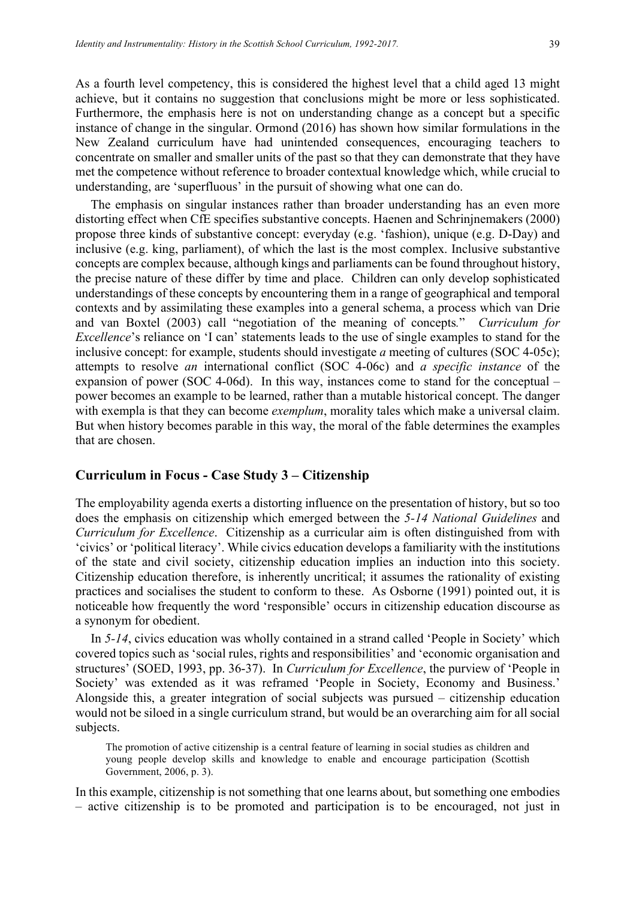As a fourth level competency, this is considered the highest level that a child aged 13 might achieve, but it contains no suggestion that conclusions might be more or less sophisticated. Furthermore, the emphasis here is not on understanding change as a concept but a specific instance of change in the singular. Ormond (2016) has shown how similar formulations in the New Zealand curriculum have had unintended consequences, encouraging teachers to concentrate on smaller and smaller units of the past so that they can demonstrate that they have met the competence without reference to broader contextual knowledge which, while crucial to understanding, are 'superfluous' in the pursuit of showing what one can do.

The emphasis on singular instances rather than broader understanding has an even more distorting effect when CfE specifies substantive concepts. Haenen and Schrinjnemakers (2000) propose three kinds of substantive concept: everyday (e.g. 'fashion), unique (e.g. D-Day) and inclusive (e.g. king, parliament), of which the last is the most complex. Inclusive substantive concepts are complex because, although kings and parliaments can be found throughout history, the precise nature of these differ by time and place. Children can only develop sophisticated understandings of these concepts by encountering them in a range of geographical and temporal contexts and by assimilating these examples into a general schema, a process which van Drie and van Boxtel (2003) call "negotiation of the meaning of concepts*.*" *Curriculum for Excellence*'s reliance on 'I can' statements leads to the use of single examples to stand for the inclusive concept: for example, students should investigate *a* meeting of cultures (SOC 4-05c); attempts to resolve *an* international conflict (SOC 4-06c) and *a specific instance* of the expansion of power (SOC 4-06d). In this way, instances come to stand for the conceptual – power becomes an example to be learned, rather than a mutable historical concept. The danger with exempla is that they can become *exemplum*, morality tales which make a universal claim. But when history becomes parable in this way, the moral of the fable determines the examples that are chosen.

# **Curriculum in Focus - Case Study 3 – Citizenship**

The employability agenda exerts a distorting influence on the presentation of history, but so too does the emphasis on citizenship which emerged between the *5-14 National Guidelines* and *Curriculum for Excellence*. Citizenship as a curricular aim is often distinguished from with 'civics' or 'political literacy'. While civics education develops a familiarity with the institutions of the state and civil society, citizenship education implies an induction into this society. Citizenship education therefore, is inherently uncritical; it assumes the rationality of existing practices and socialises the student to conform to these. As Osborne (1991) pointed out, it is noticeable how frequently the word 'responsible' occurs in citizenship education discourse as a synonym for obedient.

In *5-14*, civics education was wholly contained in a strand called 'People in Society' which covered topics such as 'social rules, rights and responsibilities' and 'economic organisation and structures' (SOED, 1993, pp. 36-37). In *Curriculum for Excellence*, the purview of 'People in Society' was extended as it was reframed 'People in Society, Economy and Business.' Alongside this, a greater integration of social subjects was pursued – citizenship education would not be siloed in a single curriculum strand, but would be an overarching aim for all social subjects.

The promotion of active citizenship is a central feature of learning in social studies as children and young people develop skills and knowledge to enable and encourage participation (Scottish Government, 2006, p. 3).

In this example, citizenship is not something that one learns about, but something one embodies – active citizenship is to be promoted and participation is to be encouraged, not just in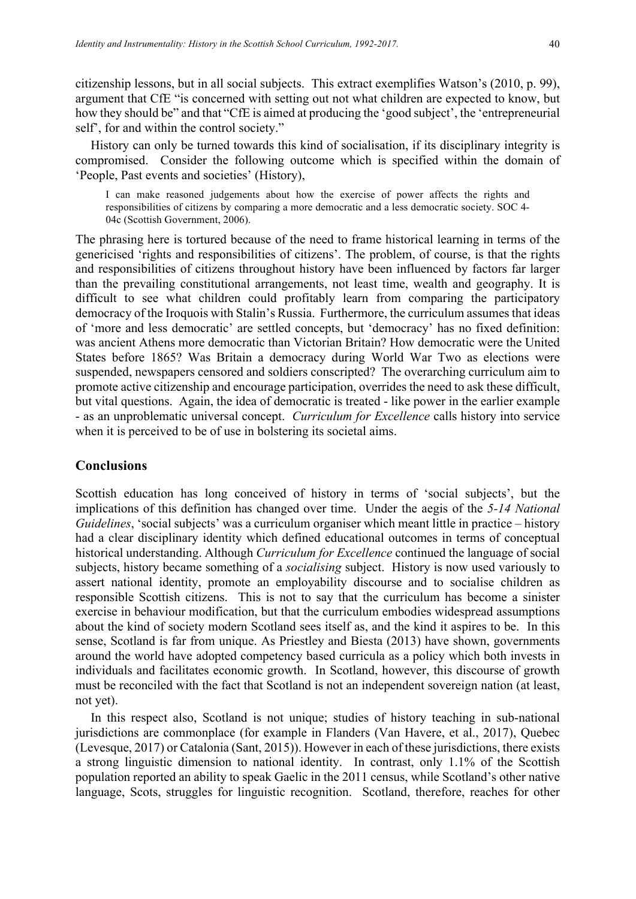citizenship lessons, but in all social subjects. This extract exemplifies Watson's (2010, p. 99), argument that CfE "is concerned with setting out not what children are expected to know, but how they should be" and that "CfE is aimed at producing the 'good subject', the 'entrepreneurial self', for and within the control society."

History can only be turned towards this kind of socialisation, if its disciplinary integrity is compromised. Consider the following outcome which is specified within the domain of 'People, Past events and societies' (History),

I can make reasoned judgements about how the exercise of power affects the rights and responsibilities of citizens by comparing a more democratic and a less democratic society. SOC 4- 04c (Scottish Government, 2006).

The phrasing here is tortured because of the need to frame historical learning in terms of the genericised 'rights and responsibilities of citizens'. The problem, of course, is that the rights and responsibilities of citizens throughout history have been influenced by factors far larger than the prevailing constitutional arrangements, not least time, wealth and geography. It is difficult to see what children could profitably learn from comparing the participatory democracy of the Iroquois with Stalin's Russia. Furthermore, the curriculum assumes that ideas of 'more and less democratic' are settled concepts, but 'democracy' has no fixed definition: was ancient Athens more democratic than Victorian Britain? How democratic were the United States before 1865? Was Britain a democracy during World War Two as elections were suspended, newspapers censored and soldiers conscripted? The overarching curriculum aim to promote active citizenship and encourage participation, overrides the need to ask these difficult, but vital questions. Again, the idea of democratic is treated - like power in the earlier example - as an unproblematic universal concept. *Curriculum for Excellence* calls history into service when it is perceived to be of use in bolstering its societal aims.

# **Conclusions**

Scottish education has long conceived of history in terms of 'social subjects', but the implications of this definition has changed over time. Under the aegis of the *5-14 National Guidelines*, 'social subjects' was a curriculum organiser which meant little in practice – history had a clear disciplinary identity which defined educational outcomes in terms of conceptual historical understanding. Although *Curriculum for Excellence* continued the language of social subjects, history became something of a *socialising* subject. History is now used variously to assert national identity, promote an employability discourse and to socialise children as responsible Scottish citizens. This is not to say that the curriculum has become a sinister exercise in behaviour modification, but that the curriculum embodies widespread assumptions about the kind of society modern Scotland sees itself as, and the kind it aspires to be. In this sense, Scotland is far from unique. As Priestley and Biesta (2013) have shown, governments around the world have adopted competency based curricula as a policy which both invests in individuals and facilitates economic growth. In Scotland, however, this discourse of growth must be reconciled with the fact that Scotland is not an independent sovereign nation (at least, not yet).

In this respect also, Scotland is not unique; studies of history teaching in sub-national jurisdictions are commonplace (for example in Flanders (Van Havere, et al., 2017), Quebec (Levesque, 2017) or Catalonia (Sant, 2015)). However in each of these jurisdictions, there exists a strong linguistic dimension to national identity. In contrast, only 1.1% of the Scottish population reported an ability to speak Gaelic in the 2011 census, while Scotland's other native language, Scots, struggles for linguistic recognition. Scotland, therefore, reaches for other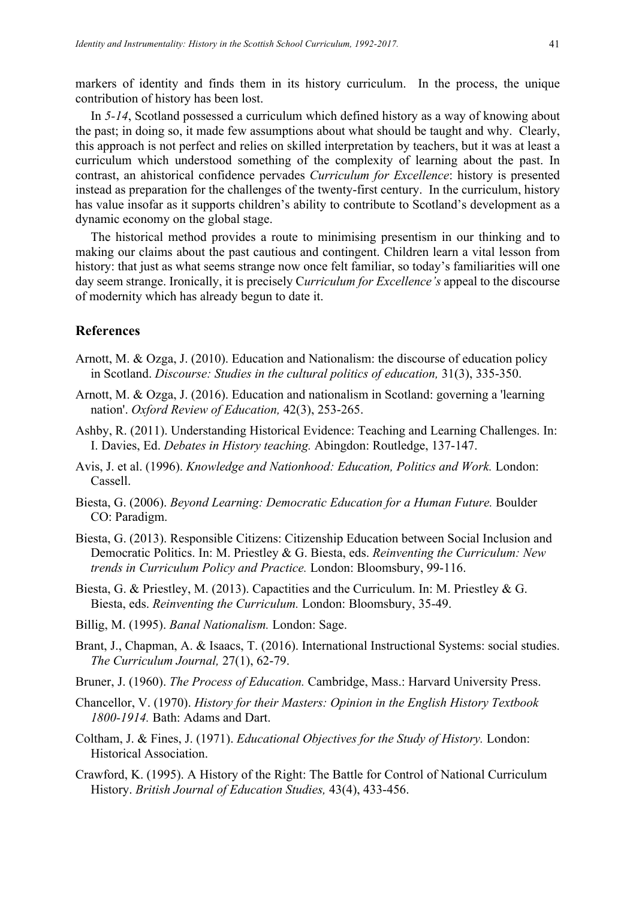markers of identity and finds them in its history curriculum. In the process, the unique contribution of history has been lost.

In *5-14*, Scotland possessed a curriculum which defined history as a way of knowing about the past; in doing so, it made few assumptions about what should be taught and why. Clearly, this approach is not perfect and relies on skilled interpretation by teachers, but it was at least a curriculum which understood something of the complexity of learning about the past. In contrast, an ahistorical confidence pervades *Curriculum for Excellence*: history is presented instead as preparation for the challenges of the twenty-first century. In the curriculum, history has value insofar as it supports children's ability to contribute to Scotland's development as a dynamic economy on the global stage.

The historical method provides a route to minimising presentism in our thinking and to making our claims about the past cautious and contingent. Children learn a vital lesson from history: that just as what seems strange now once felt familiar, so today's familiarities will one day seem strange. Ironically, it is precisely C*urriculum for Excellence's* appeal to the discourse of modernity which has already begun to date it.

# **References**

- Arnott, M. & Ozga, J. (2010). Education and Nationalism: the discourse of education policy in Scotland. *Discourse: Studies in the cultural politics of education,* 31(3), 335-350.
- Arnott, M. & Ozga, J. (2016). Education and nationalism in Scotland: governing a 'learning nation'. *Oxford Review of Education,* 42(3), 253-265.
- Ashby, R. (2011). Understanding Historical Evidence: Teaching and Learning Challenges. In: I. Davies, Ed. *Debates in History teaching.* Abingdon: Routledge, 137-147.
- Avis, J. et al. (1996). *Knowledge and Nationhood: Education, Politics and Work.* London: Cassell.
- Biesta, G. (2006). *Beyond Learning: Democratic Education for a Human Future.* Boulder CO: Paradigm.
- Biesta, G. (2013). Responsible Citizens: Citizenship Education between Social Inclusion and Democratic Politics. In: M. Priestley & G. Biesta, eds. *Reinventing the Curriculum: New trends in Curriculum Policy and Practice.* London: Bloomsbury, 99-116.
- Biesta, G. & Priestley, M. (2013). Capactities and the Curriculum. In: M. Priestley & G. Biesta, eds. *Reinventing the Curriculum.* London: Bloomsbury, 35-49.
- Billig, M. (1995). *Banal Nationalism.* London: Sage.
- Brant, J., Chapman, A. & Isaacs, T. (2016). International Instructional Systems: social studies. *The Curriculum Journal,* 27(1), 62-79.
- Bruner, J. (1960). *The Process of Education.* Cambridge, Mass.: Harvard University Press.
- Chancellor, V. (1970). *History for their Masters: Opinion in the English History Textbook 1800-1914.* Bath: Adams and Dart.
- Coltham, J. & Fines, J. (1971). *Educational Objectives for the Study of History.* London: Historical Association.
- Crawford, K. (1995). A History of the Right: The Battle for Control of National Curriculum History. *British Journal of Education Studies,* 43(4), 433-456.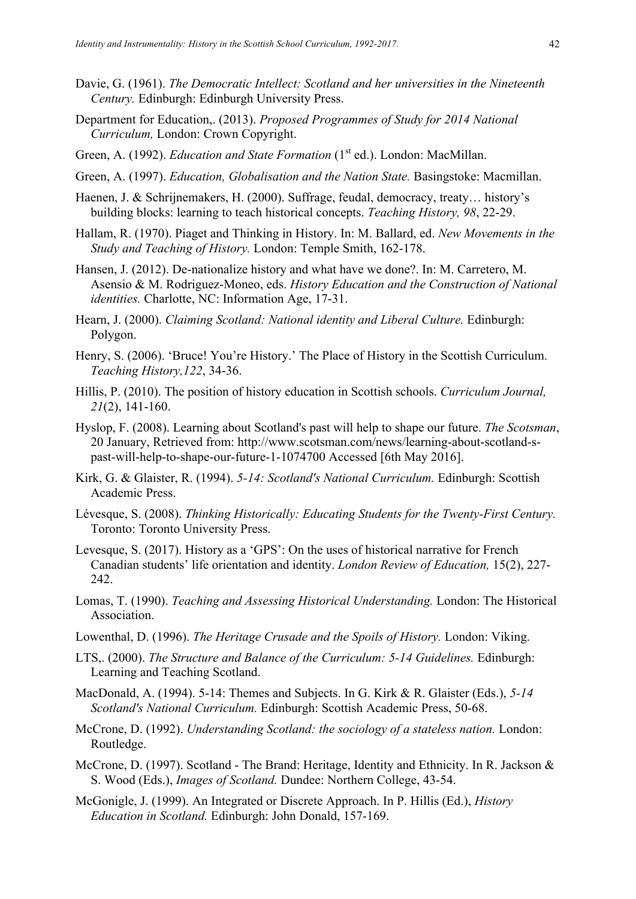- Davie, G. (1961). *The Democratic Intellect: Scotland and her universities in the Nineteenth Century.* Edinburgh: Edinburgh University Press.
- Department for Education,. (2013). *Proposed Programmes of Study for 2014 National Curriculum,* London: Crown Copyright.
- Green, A. (1992). *Education and State Formation* (1<sup>st</sup> ed.). London: MacMillan.
- Green, A. (1997). *Education, Globalisation and the Nation State.* Basingstoke: Macmillan.
- Haenen, J. & Schrijnemakers, H. (2000). Suffrage, feudal, democracy, treaty… history's building blocks: learning to teach historical concepts. *Teaching History, 98*, 22-29.
- Hallam, R. (1970). Piaget and Thinking in History. In: M. Ballard, ed. *New Movements in the Study and Teaching of History.* London: Temple Smith, 162-178.
- Hansen, J. (2012). De-nationalize history and what have we done?. In: M. Carretero, M. Asensio & M. Rodriguez-Moneo, eds. *History Education and the Construction of National identities.* Charlotte, NC: Information Age, 17-31.
- Hearn, J. (2000). *Claiming Scotland: National identity and Liberal Culture.* Edinburgh: Polygon.
- Henry, S. (2006). 'Bruce! You're History.' The Place of History in the Scottish Curriculum. *Teaching History,122*, 34-36.
- Hillis, P. (2010). The position of history education in Scottish schools. *Curriculum Journal, 21*(2), 141-160.
- Hyslop, F. (2008). Learning about Scotland's past will help to shape our future. *The Scotsman*, 20 January, Retrieved from: http://www.scotsman.com/news/learning-about-scotland-spast-will-help-to-shape-our-future-1-1074700 Accessed [6th May 2016].
- Kirk, G. & Glaister, R. (1994). *5-14: Scotland's National Curriculum.* Edinburgh: Scottish Academic Press.
- Lévesque, S. (2008). *Thinking Historically: Educating Students for the Twenty-First Century.*  Toronto: Toronto University Press.
- Levesque, S. (2017). History as a 'GPS': On the uses of historical narrative for French Canadian students' life orientation and identity. *London Review of Education,* 15(2), 227- 242.
- Lomas, T. (1990). *Teaching and Assessing Historical Understanding.* London: The Historical Association.
- Lowenthal, D. (1996). *The Heritage Crusade and the Spoils of History.* London: Viking.
- LTS,. (2000). *The Structure and Balance of the Curriculum: 5-14 Guidelines.* Edinburgh: Learning and Teaching Scotland.
- MacDonald, A. (1994). 5-14: Themes and Subjects. In G. Kirk & R. Glaister (Eds.), *5-14 Scotland's National Curriculum.* Edinburgh: Scottish Academic Press, 50-68.
- McCrone, D. (1992). *Understanding Scotland: the sociology of a stateless nation.* London: Routledge.
- McCrone, D. (1997). Scotland The Brand: Heritage, Identity and Ethnicity. In R. Jackson & S. Wood (Eds.), *Images of Scotland.* Dundee: Northern College, 43-54.
- McGonigle, J. (1999). An Integrated or Discrete Approach. In P. Hillis (Ed.), *History Education in Scotland.* Edinburgh: John Donald, 157-169.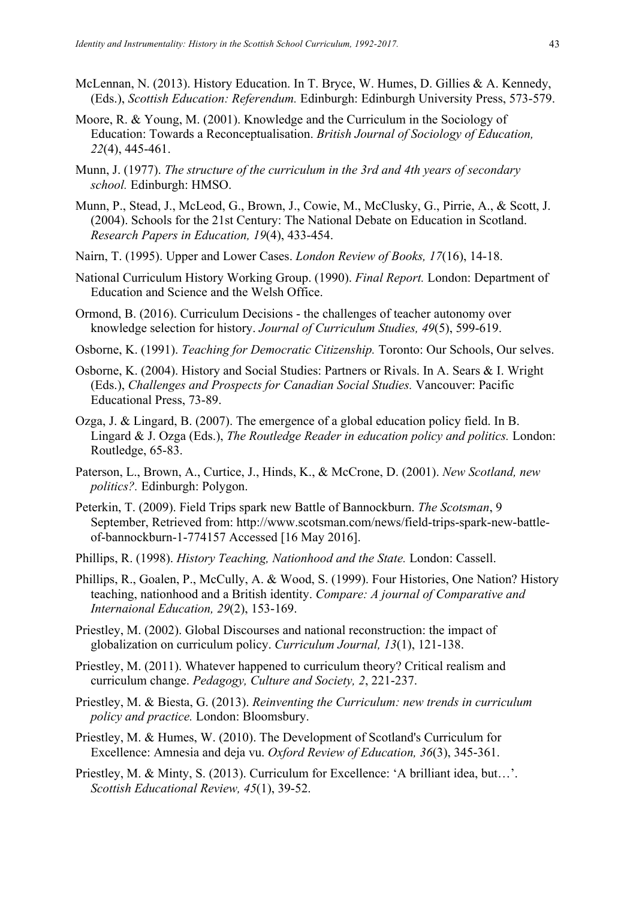- McLennan, N. (2013). History Education. In T. Bryce, W. Humes, D. Gillies & A. Kennedy, (Eds.), *Scottish Education: Referendum.* Edinburgh: Edinburgh University Press, 573-579.
- Moore, R. & Young, M. (2001). Knowledge and the Curriculum in the Sociology of Education: Towards a Reconceptualisation. *British Journal of Sociology of Education, 22*(4), 445-461.
- Munn, J. (1977). *The structure of the curriculum in the 3rd and 4th years of secondary school.* Edinburgh: HMSO.
- Munn, P., Stead, J., McLeod, G., Brown, J., Cowie, M., McClusky, G., Pirrie, A., & Scott, J. (2004). Schools for the 21st Century: The National Debate on Education in Scotland. *Research Papers in Education, 19*(4), 433-454.
- Nairn, T. (1995). Upper and Lower Cases. *London Review of Books, 17*(16), 14-18.
- National Curriculum History Working Group. (1990). *Final Report.* London: Department of Education and Science and the Welsh Office.
- Ormond, B. (2016). Curriculum Decisions the challenges of teacher autonomy over knowledge selection for history. *Journal of Curriculum Studies, 49*(5), 599-619.
- Osborne, K. (1991). *Teaching for Democratic Citizenship.* Toronto: Our Schools, Our selves.
- Osborne, K. (2004). History and Social Studies: Partners or Rivals. In A. Sears & I. Wright (Eds.), *Challenges and Prospects for Canadian Social Studies.* Vancouver: Pacific Educational Press, 73-89.
- Ozga, J. & Lingard, B. (2007). The emergence of a global education policy field. In B. Lingard & J. Ozga (Eds.), *The Routledge Reader in education policy and politics.* London: Routledge, 65-83.
- Paterson, L., Brown, A., Curtice, J., Hinds, K., & McCrone, D. (2001). *New Scotland, new politics?.* Edinburgh: Polygon.
- Peterkin, T. (2009). Field Trips spark new Battle of Bannockburn. *The Scotsman*, 9 September, Retrieved from: http://www.scotsman.com/news/field-trips-spark-new-battleof-bannockburn-1-774157 Accessed [16 May 2016].
- Phillips, R. (1998). *History Teaching, Nationhood and the State.* London: Cassell.
- Phillips, R., Goalen, P., McCully, A. & Wood, S. (1999). Four Histories, One Nation? History teaching, nationhood and a British identity. *Compare: A journal of Comparative and Internaional Education, 29*(2), 153-169.
- Priestley, M. (2002). Global Discourses and national reconstruction: the impact of globalization on curriculum policy. *Curriculum Journal, 13*(1), 121-138.
- Priestley, M. (2011). Whatever happened to curriculum theory? Critical realism and curriculum change. *Pedagogy, Culture and Society, 2*, 221-237.
- Priestley, M. & Biesta, G. (2013). *Reinventing the Curriculum: new trends in curriculum policy and practice.* London: Bloomsbury.
- Priestley, M. & Humes, W. (2010). The Development of Scotland's Curriculum for Excellence: Amnesia and deja vu. *Oxford Review of Education, 36*(3), 345-361.
- Priestley, M. & Minty, S. (2013). Curriculum for Excellence: 'A brilliant idea, but…'. *Scottish Educational Review, 45*(1), 39-52.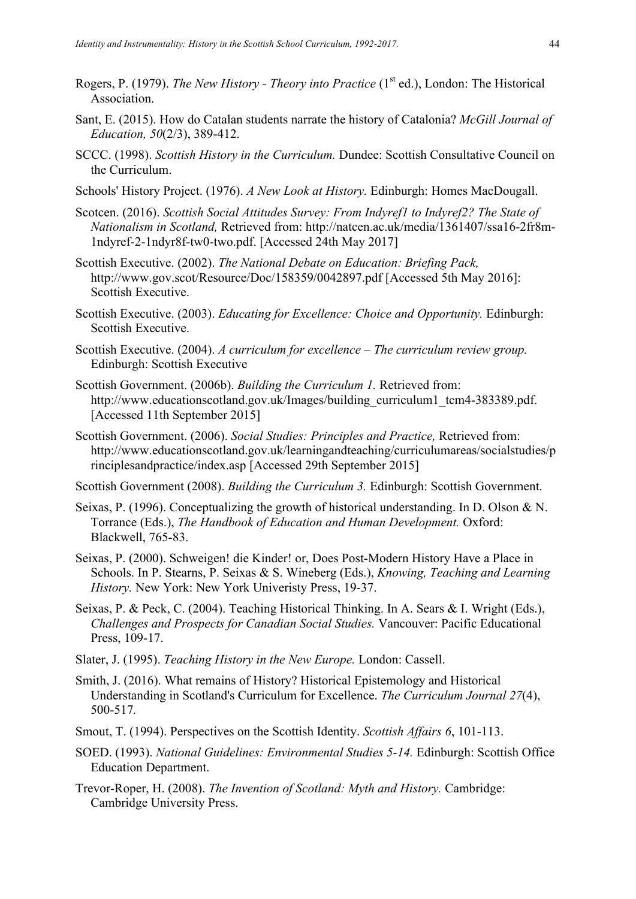- Rogers, P. (1979). *The New History Theory into Practice* (1<sup>st</sup> ed.), London: The Historical Association.
- Sant, E. (2015). How do Catalan students narrate the history of Catalonia? *McGill Journal of Education, 50*(2/3), 389-412.
- SCCC. (1998). *Scottish History in the Curriculum.* Dundee: Scottish Consultative Council on the Curriculum.
- Schools' History Project. (1976). *A New Look at History.* Edinburgh: Homes MacDougall.
- Scotcen. (2016). *Scottish Social Attitudes Survey: From Indyref1 to Indyref2? The State of Nationalism in Scotland,* Retrieved from: http://natcen.ac.uk/media/1361407/ssa16-2fr8m-1ndyref-2-1ndyr8f-tw0-two.pdf. [Accessed 24th May 2017]
- Scottish Executive. (2002). *The National Debate on Education: Briefing Pack,*  http://www.gov.scot/Resource/Doc/158359/0042897.pdf [Accessed 5th May 2016]: Scottish Executive.
- Scottish Executive. (2003). *Educating for Excellence: Choice and Opportunity.* Edinburgh: Scottish Executive.
- Scottish Executive. (2004). *A curriculum for excellence – The curriculum review group.*  Edinburgh: Scottish Executive
- Scottish Government. (2006b). *Building the Curriculum 1.* Retrieved from: http://www.educationscotland.gov.uk/Images/building\_curriculum1\_tcm4-383389.pdf. [Accessed 11th September 2015]
- Scottish Government. (2006). *Social Studies: Principles and Practice,* Retrieved from: http://www.educationscotland.gov.uk/learningandteaching/curriculumareas/socialstudies/p rinciplesandpractice/index.asp [Accessed 29th September 2015]

Scottish Government (2008). *Building the Curriculum 3.* Edinburgh: Scottish Government.

- Seixas, P. (1996). Conceptualizing the growth of historical understanding. In D. Olson & N. Torrance (Eds.), *The Handbook of Education and Human Development.* Oxford: Blackwell, 765-83.
- Seixas, P. (2000). Schweigen! die Kinder! or, Does Post-Modern History Have a Place in Schools. In P. Stearns, P. Seixas & S. Wineberg (Eds.), *Knowing, Teaching and Learning History.* New York: New York Univeristy Press, 19-37.
- Seixas, P. & Peck, C. (2004). Teaching Historical Thinking. In A. Sears & I. Wright (Eds.), *Challenges and Prospects for Canadian Social Studies.* Vancouver: Pacific Educational Press, 109-17.
- Slater, J. (1995). *Teaching History in the New Europe.* London: Cassell.
- Smith, J. (2016). What remains of History? Historical Epistemology and Historical Understanding in Scotland's Curriculum for Excellence. *The Curriculum Journal 27*(4), 500-517*.*
- Smout, T. (1994). Perspectives on the Scottish Identity. *Scottish Affairs 6*, 101-113.
- SOED. (1993). *National Guidelines: Environmental Studies 5-14.* Edinburgh: Scottish Office Education Department.
- Trevor-Roper, H. (2008). *The Invention of Scotland: Myth and History.* Cambridge: Cambridge University Press.